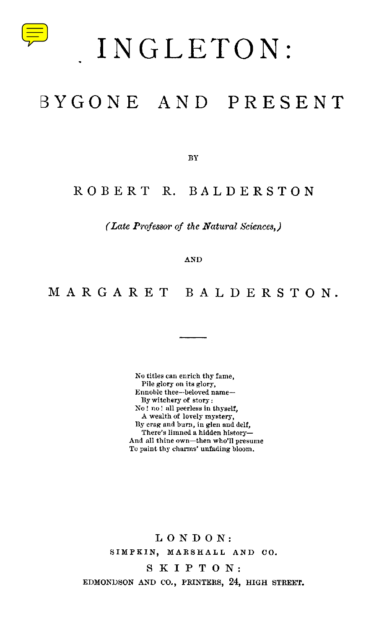

# INGLETON:

## BYGONE AND PRESENT

BY

### ROBERT R. BALDERSTON

*(Late Professor of the Natural Sciences,)*

AND

## MARGARET BALDERSTON.

No titles can enrich thy fame, Pile glory on its glory, Ennoble thee—beloved name— By witchery of story: No ! no ! all peerless in thyself, A wealth of lovely mystery, By crag and burn, in glen and delf, There's limned a hidden history— And all thine own—then who'll presume To paint thy charms' unfading bloom.

LONDON: SIMPKIN, MARSHALL AND CO.

SKIPTON:

EDMONDSON AND CO., PRINTERS, 24, HIGH STREET.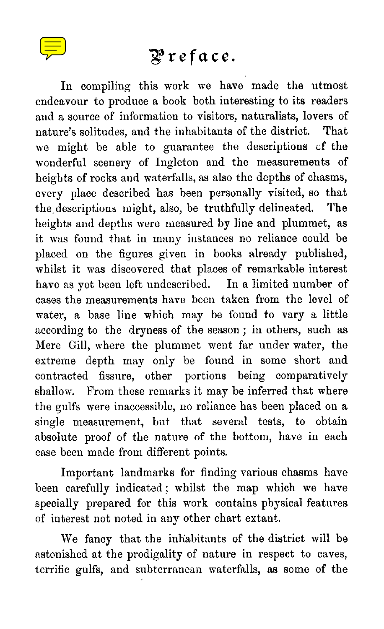

## Preface.

In compiling this work we have made the utmost endeavour to produce a book both interesting to its readers and a source of information to visitors, naturalists, lovers of nature's solitudes, and the inhabitants of the district. That we might be able to guarantee the descriptions cf the wonderful scenery of Ingleton and the measurements of heights of rocks and waterfalls, as also the depths of chasms, every place described has been personally visited, so that the descriptions might, also, be truthfully delineated. The heights and depths were measured by line and plummet, as it was found that in many instances no reliance could be placed on the figures given in books already published, whilst it was discovered that places of remarkable interest have as yet been left undescribed. In a limited number of cases the measurements have been taken from the level of water, a base line which may be found to vary a little according to the dryness of the season ; in others, such as Mere Gill, where the plummet went far under water, the extreme depth may only be found in some short and contracted fissure, other portions being comparatively shallow. From these remarks it may be inferred that where the gulfs were inaccessible, no reliance has been placed on a single measurement, but that several tests, to obtain absolute proof of the nature of the bottom, have in each case been made from different points.

Important landmarks for finding various chasms have been carefully indicated ; whilst the map which we have specially prepared for this work contains physical features of interest not noted in any other chart extant.

We fancy that the inhabitants of the district will be astonished at the prodigality of nature in respect to caves, terrific gulfs, and subterranean waterfalls, as some of the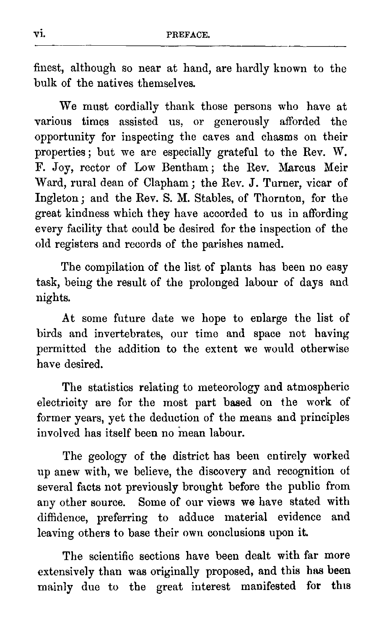vi. PREFACE. finest, although so near at hand, are hardly known to the bulk of the natives themselves.

We must cordially thank those persons who have at various times assisted us, or generously afforded the opportunity for inspecting the caves and chasms on their properties ; but we are especially grateful to the Rev. W. F. Joy, rector of Low Bentham; the Rev. Marcus Meir Ward, rural dean of Clapham ; the Rev. J. Turner, vicar of Ingleton ; and the Rev. S. M. Stables, of Thornton, for the great kindness which they have accorded to us in affording every facility that could be desired for the inspection of the old registers and records of the parishes named.

The compilation of the list of plants has been no easy task, being the result of the prolonged labour of days and nights.

At some future date we hope to enlarge the list of birds and invertebrates, our time and space not having permitted the addition to the extent we would otherwise have desired.

The statistics relating to meteorology and atmospheric electricity are for the most part based on the work of former years, yet the deduction of the means and principles involved has itself been no mean labour.

The geology of the district has been entirely worked up anew with, we believe, the discovery and recognition of several facts not previously brought before the public from any other source. Some of our views we have stated with diffidence, preferring to adduce material evidence and leaving others to base their own conclusions upon it.

The scientific sections have been dealt with far more extensively than was originally proposed, and this has been mainly due to the great interest manifested for this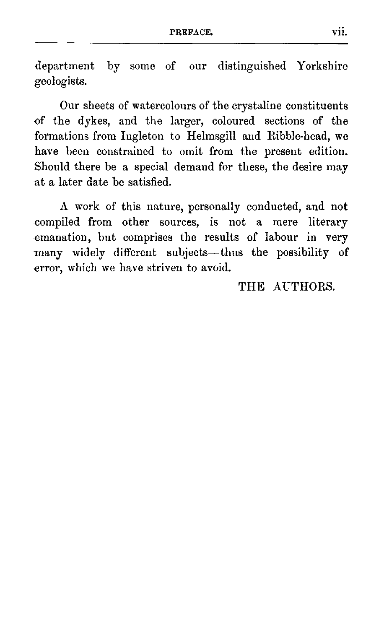PREFACE. vii.<br>
Fe aux distinguished Verkehing department by some of our distinguished Yorkshire geologists.

Our sheets of watercolours of the crystaline constituents of the dykes, and the larger, coloured sections of the formations from Ingleton to Helmsgill and Ribble-head, we have been constrained to omit from the present edition. Should there be a special demand for these, the desire may at a later date be satisfied.

A work of this nature, personally conducted, and not compiled from other sources, is not a mere literary emanation, but comprises the results of labour in very many widely different subjects—thus the possibility of error, which we have striven to avoid.

#### THE AUTHORS.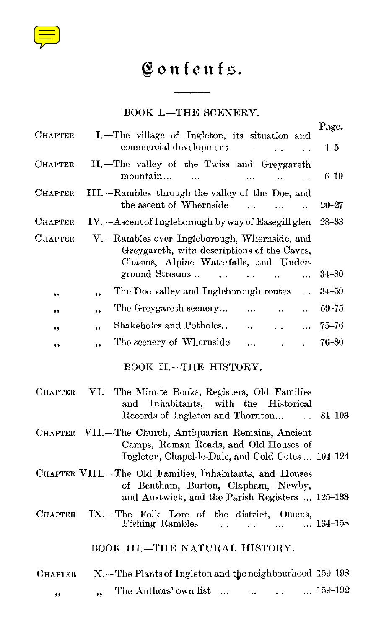

# Contents .

#### BOOK I.—THE SCENERY.

| Confenfs.                                                                                                                                                                                              |                                                                                                                  |
|--------------------------------------------------------------------------------------------------------------------------------------------------------------------------------------------------------|------------------------------------------------------------------------------------------------------------------|
| BOOK I.-THE SCENERY.                                                                                                                                                                                   |                                                                                                                  |
| I.—The village of Ingleton, its situation and<br>commercial development<br>$\ddot{\phantom{a}}$<br>$\ddotsc$                                                                                           | Page.<br>$1 - 5$                                                                                                 |
| II.-The valley of the Twiss and Greygareth<br>mountain<br>$\ddotsc$<br>цú.<br>$\ddotsc$                                                                                                                | $6 - 19$                                                                                                         |
| III.—Rambles through the valley of the Doe, and<br>the ascent of Whernside<br>L.<br>.                                                                                                                  | $20 - 27$                                                                                                        |
| IV. - Ascent of Ingleborough by way of Easegill glen                                                                                                                                                   | $28 - 33$                                                                                                        |
| V.--Rambles over Ingleborough, Whernside, and<br>Greygareth, with descriptions of the Caves,<br>Chasms, Alpine Waterfalls, and Under-<br>ground Streams<br>$\mathbf{r}$<br>$\mathbb{R}^2$<br>$\ddotsc$ | $34 - 80$                                                                                                        |
| The Doe valley and Ingleborough routes<br>.<br>٠,                                                                                                                                                      | 34–59                                                                                                            |
| The Greygareth scenery<br>$\ddotsc$<br>$\ddot{\phantom{a}}$<br>,,                                                                                                                                      | 59–75                                                                                                            |
| Shakeholes and Potholes<br>$\cdots$<br>$\ddotsc$<br>,,                                                                                                                                                 | $75 - 76$                                                                                                        |
| The scenery of Whernside<br>$\ddotsc$<br>$\sim$<br>$\ddot{\phantom{a}}$                                                                                                                                | 76-80                                                                                                            |
| BOOK II.-THE HISTORY.                                                                                                                                                                                  |                                                                                                                  |
| VI.—The Minute Books, Registers, Old Families<br>Inhabitants, with the Historical<br>and<br>Records of Ingleton and Thornton<br>$\ddot{\phantom{0}}$                                                   | $81 - 103$                                                                                                       |
| Camps, Roman Roads, and Old Houses of<br>Ingleton, Chapel-le-Dale, and Cold Cotes  104-124                                                                                                             |                                                                                                                  |
| of Bentham, Burton, Clapham, Newby,<br>and Austwick, and the Parish Registers  125-133                                                                                                                 |                                                                                                                  |
| IX.-The Folk Lore of the district, Omens,<br>Fishing Rambles<br>$\ddot{\phantom{0}}$<br>$\ddotsc$                                                                                                      | $\dots$ 134–158                                                                                                  |
| BOOK III.-THE NATURAL HISTORY.                                                                                                                                                                         |                                                                                                                  |
| X. The Plants of Ingleton and the neighbourhood 159-198                                                                                                                                                |                                                                                                                  |
| The Authors' own list<br>$\ddotsc$<br>.<br>,,                                                                                                                                                          | $\dots 159-192$                                                                                                  |
|                                                                                                                                                                                                        | CHAPTER VII.-The Church, Antiquarian Remains, Ancient<br>CHAPTER VIII.-The Old Families, Inhabitants, and Houses |